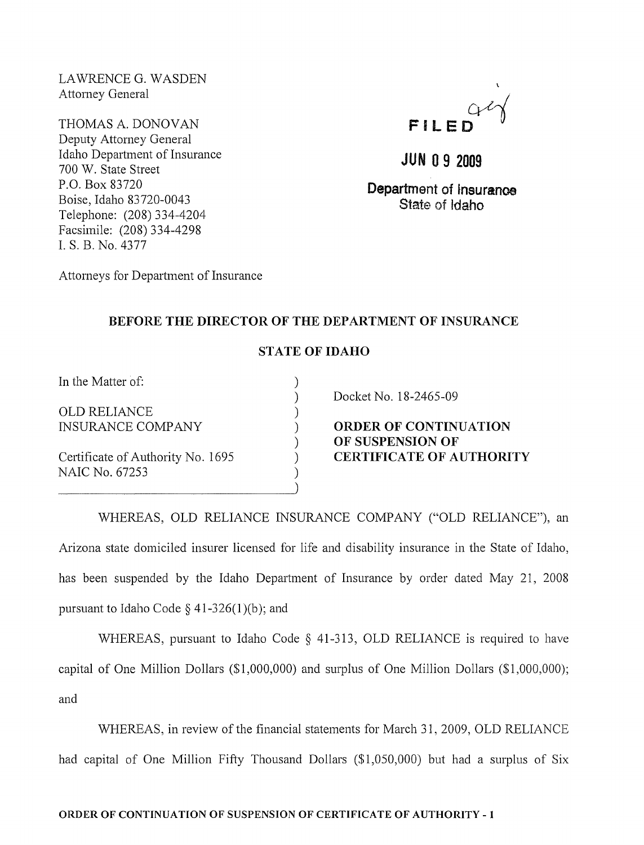LA WRENCE G. WASDEN Attorney General

THOMAS A. DONOVAN Deputy Attorney General Idaho Department of Insurance 700 W. State Street P.O. Box 83720 Boise, Idaho 83720-0043 Telephone: (208) 334-4204 Facsimile: (208) 334-4298 1. S. B. No. 4377



**JUN 0 9 2009** 

**Department of tnsuranoe State of Idaho** 

Attorneys for Department of Insurance

## **BEFORE THE DIRECTOR OF THE DEPARTMENT OF INSURANCE**

## **STATE OF IDAHO**

) ) ) ) ) ) ) )

In the Matter of:

OLD RELIANCE INSURANCE COMPANY

Certificate of Authority No. 1695 NAIC No. 67253

Docket No. 18-2465-09

**ORDER OF CONTINUATION OF SUSPENSION OF CERTIFICATE OF AUTHORITY** 

WHEREAS, OLD RELIANCE INSURANCE COMPANY ("OLD RELIANCE"), an Arizona state domiciled insurer licensed for life and disability insurance in the State of Idaho, has been suspended by the Idaho Department of Insurance by order dated May 21, 2008 pursuant to Idaho Code  $\S$  41-326(1)(b); and

WHEREAS, pursuant to Idaho Code  $\S$  41-313, OLD RELIANCE is required to have capital of One Million Dollars (\$1,000,000) and surplus of One Million Dollars (\$1,000,000); and

WHEREAS, in review of the financial statements for March 31,2009, OLD RELIANCE had capital of One Million Fifty Thousand Dollars (\$1,050,000) but had a surplus of Six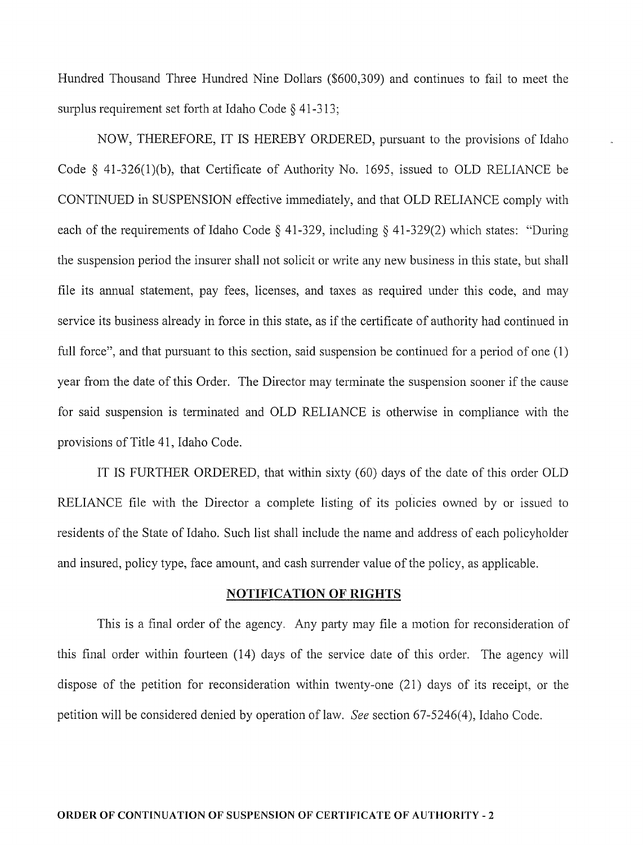Hundred Thousand Three Hundred Nine Dollars (\$600,309) and continues to fail to meet the surplus requirement set forth at Idaho Code § 41-313;

NOW, THEREFORE, IT IS HEREBY ORDERED, pursuant to the provisions of Idaho Code  $§$  41-326(1)(b), that Certificate of Authority No. 1695, issued to OLD RELIANCE be CONTINUED in SUSPENSION effective immediately, and that OLD RELIANCE comply with each of the requirements of Idaho Code § 41-329, including § 41-329(2) which states: "During the suspension period the insurer shall not solicit or write any new business in this state, but shall file its ammal statement, pay fees, licenses, and taxes as required under this code, and may service its business already in force in this state, as if the certificate of authority had continued in full force", and that pursuant to this section, said suspension be continued for a period of one (1) year from the date of this Order. The Director may terminate the suspension sooner if the cause for said suspension is terminated and OLD RELIANCE is otherwise in compliance with the provisions of Title 41, Idaho Code.

IT IS FURTHER ORDERED, that within sixty (60) days of the date of this order OLD RELIANCE file with the Director a complete listing of its policies owned by or issued to residents of the State of Idaho. Such list shall include the name and address of each policyholder and insured, policy type, face amount, and cash surrender value of the policy, as applicable.

## **NOTIFICATION OF RIGHTS**

This is a final order of the agency. Any party may file a motion for reconsideration of this final order within fourteen (14) days of the service date of this order. The agency will dispose of the petition for reconsideration within twenty-one (21) days of its receipt, or the petition will be considered denied by operation oflaw. *See* section 67 -5246( 4), Idaho Code.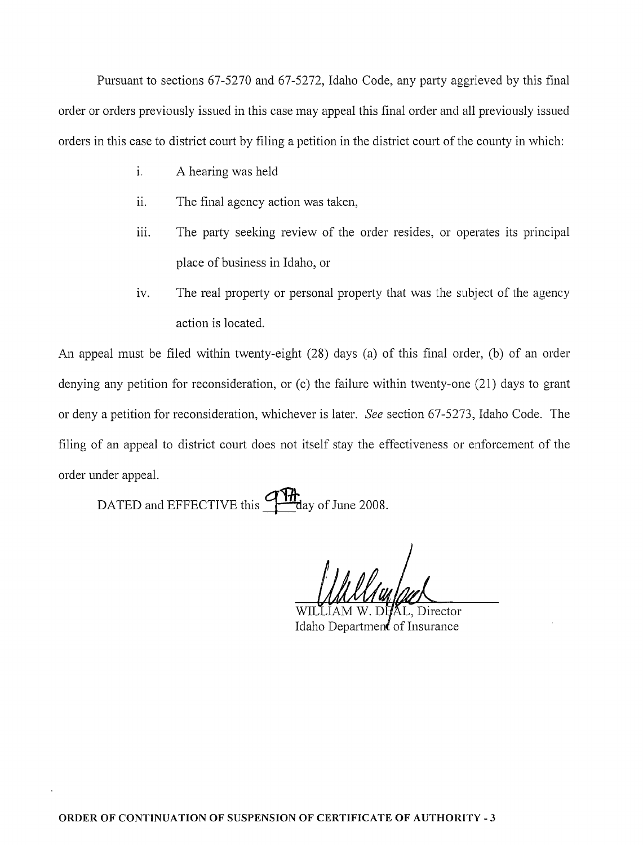Pursuant to sections 67-5270 and 67-5272, Idaho Code, any party aggrieved by this final order or orders previously issued in this case may appeal this final order and all previously issued orders in this case to district court by filing a petition in the district court of the county in which:

- 1. A hearing was held
- ii. The final agency action was taken,
- iii. The party seeking review of the order resides, or operates its principal place of business in Idaho, or
- iv. The real property or personal property that was the subject of the agency action is located.

An appeal must be filed within twenty-eight (28) days (a) of this final order, (b) of an order denying any petition for reconsideration, or (c) the failure within twenty-one (21) days to grant or deny a petition for reconsideration, whichever is later. *See* section 67-5273, Idaho Code. The filing of an appeal to district court does not itself stay the effectiveness or enforcement of the order under appeal.

DATED and EFFECTIVE this  $\frac{9 \pi h}{\text{day of June 2008.}}$ 

Idaho Departmen of Insurance